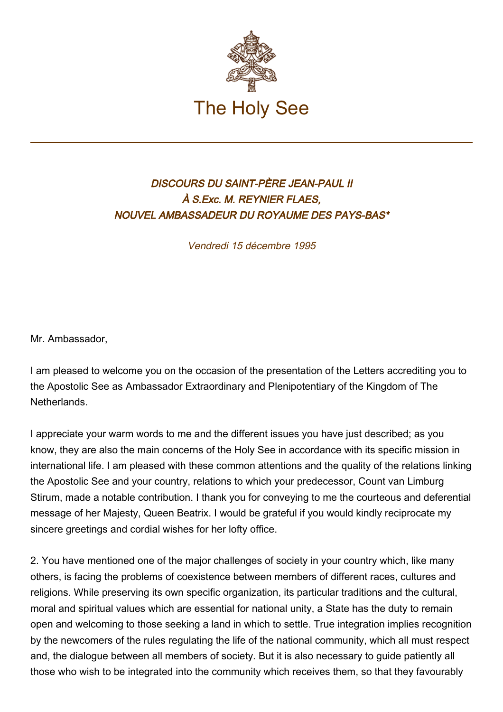

## DISCOURS DU SAINT-PÈRE JEAN-PAUL II À S.Exc. M. REYNIER FLAES, NOUVEL AMBASSADEUR DU ROYAUME DES PAYS-BAS\*

Vendredi 15 décembre 1995

Mr. Ambassador,

I am pleased to welcome you on the occasion of the presentation of the Letters accrediting you to the Apostolic See as Ambassador Extraordinary and Plenipotentiary of the Kingdom of The Netherlands.

I appreciate your warm words to me and the different issues you have just described; as you know, they are also the main concerns of the Holy See in accordance with its specific mission in international life. I am pleased with these common attentions and the quality of the relations linking the Apostolic See and your country, relations to which your predecessor, Count van Limburg Stirum, made a notable contribution. I thank you for conveying to me the courteous and deferential message of her Majesty, Queen Beatrix. I would be grateful if you would kindly reciprocate my sincere greetings and cordial wishes for her lofty office.

2. You have mentioned one of the major challenges of society in your country which, like many others, is facing the problems of coexistence between members of different races, cultures and religions. While preserving its own specific organization, its particular traditions and the cultural, moral and spiritual values which are essential for national unity, a State has the duty to remain open and welcoming to those seeking a land in which to settle. True integration implies recognition by the newcomers of the rules regulating the life of the national community, which all must respect and, the dialogue between all members of society. But it is also necessary to guide patiently all those who wish to be integrated into the community which receives them, so that they favourably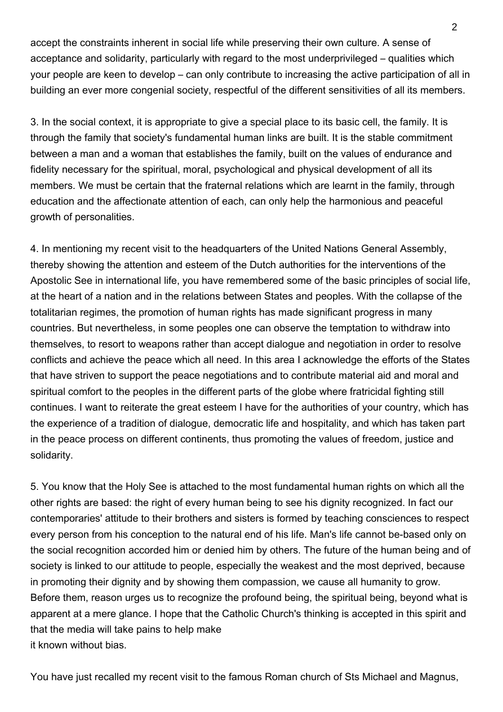accept the constraints inherent in social life while preserving their own culture. A sense of acceptance and solidarity, particularly with regard to the most underprivileged – qualities which your people are keen to develop – can only contribute to increasing the active participation of all in building an ever more congenial society, respectful of the different sensitivities of all its members.

3. In the social context, it is appropriate to give a special place to its basic cell, the family. It is through the family that society's fundamental human links are built. It is the stable commitment between a man and a woman that establishes the family, built on the values of endurance and fidelity necessary for the spiritual, moral, psychological and physical development of all its members. We must be certain that the fraternal relations which are learnt in the family, through education and the affectionate attention of each, can only help the harmonious and peaceful growth of personalities.

4. In mentioning my recent visit to the headquarters of the United Nations General Assembly, thereby showing the attention and esteem of the Dutch authorities for the interventions of the Apostolic See in international life, you have remembered some of the basic principles of social life, at the heart of a nation and in the relations between States and peoples. With the collapse of the totalitarian regimes, the promotion of human rights has made significant progress in many countries. But nevertheless, in some peoples one can observe the temptation to withdraw into themselves, to resort to weapons rather than accept dialogue and negotiation in order to resolve conflicts and achieve the peace which all need. In this area I acknowledge the efforts of the States that have striven to support the peace negotiations and to contribute material aid and moral and spiritual comfort to the peoples in the different parts of the globe where fratricidal fighting still continues. I want to reiterate the great esteem I have for the authorities of your country, which has the experience of a tradition of dialogue, democratic life and hospitality, and which has taken part in the peace process on different continents, thus promoting the values of freedom, justice and solidarity.

5. You know that the Holy See is attached to the most fundamental human rights on which all the other rights are based: the right of every human being to see his dignity recognized. In fact our contemporaries' attitude to their brothers and sisters is formed by teaching consciences to respect every person from his conception to the natural end of his life. Man's life cannot be-based only on the social recognition accorded him or denied him by others. The future of the human being and of society is linked to our attitude to people, especially the weakest and the most deprived, because in promoting their dignity and by showing them compassion, we cause all humanity to grow. Before them, reason urges us to recognize the profound being, the spiritual being, beyond what is apparent at a mere glance. I hope that the Catholic Church's thinking is accepted in this spirit and that the media will take pains to help make it known without bias.

You have just recalled my recent visit to the famous Roman church of Sts Michael and Magnus,